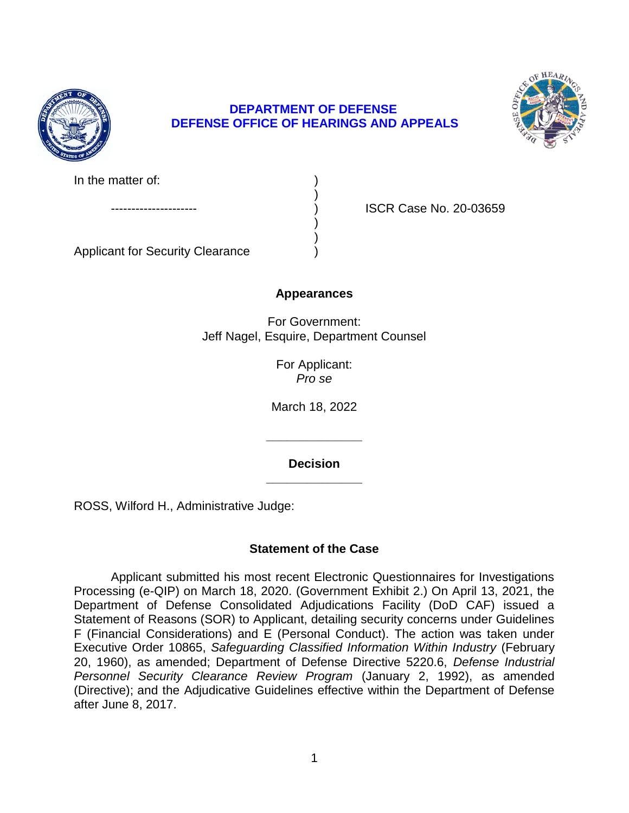

## **DEPARTMENT OF DEFENSE DEFENSE OFFICE OF HEARINGS AND APPEALS**

)

) )



In the matter of:

ISCR Case No. 20-03659

Applicant for Security Clearance )

# **Appearances**

For Government: Jeff Nagel, Esquire, Department Counsel

> For Applicant: *Pro se*

March 18, 2022

**\_\_\_\_\_\_\_\_\_\_\_\_\_\_ Decision** 

**\_\_\_\_\_\_\_\_\_\_\_\_\_\_** 

ROSS, Wilford H., Administrative Judge:

# **Statement of the Case**

 Department of Defense Consolidated Adjudications Facility (DoD CAF) issued a Statement of Reasons (SOR) to Applicant, detailing security concerns under Guidelines F (Financial Considerations) and E (Personal Conduct). The action was taken under Executive Order 10865, Safeguarding Classified Information Within Industry (February 20, 1960), as amended; Department of Defense Directive 5220.6, *Defense Industrial*  Personnel Security Clearance Review Program (January 2, 1992), as amended (Directive); and the Adjudicative Guidelines effective within the Department of Defense Applicant submitted his most recent Electronic Questionnaires for Investigations Processing (e-QIP) on March 18, 2020. (Government Exhibit 2.) On April 13, 2021, the after June 8, 2017.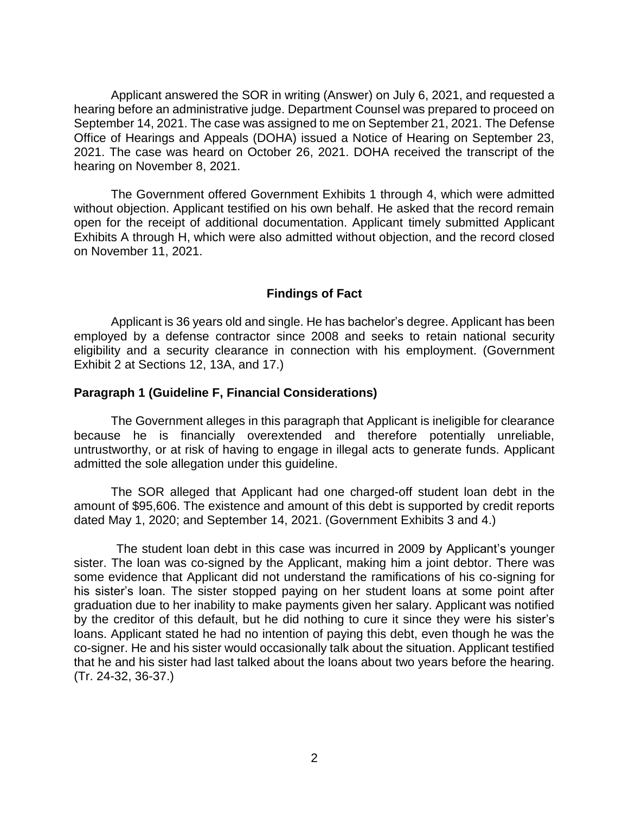Applicant answered the SOR in writing (Answer) on July 6, 2021, and requested a hearing before an administrative judge. Department Counsel was prepared to proceed on September 14, 2021. The case was assigned to me on September 21, 2021. The Defense Office of Hearings and Appeals (DOHA) issued a Notice of Hearing on September 23, 2021. The case was heard on October 26, 2021. DOHA received the transcript of the hearing on November 8, 2021.

 without objection. Applicant testified on his own behalf. He asked that the record remain open for the receipt of additional documentation. Applicant timely submitted Applicant Exhibits A through H, which were also admitted without objection, and the record closed The Government offered Government Exhibits 1 through 4, which were admitted on November 11, 2021.

## **Findings of Fact**

 Applicant is 36 years old and single. He has bachelor's degree. Applicant has been employed by a defense contractor since 2008 and seeks to retain national security eligibility and a security clearance in connection with his employment. (Government Exhibit 2 at Sections 12, 13A, and 17.)

## **Paragraph 1 (Guideline F, Financial Considerations)**

 The Government alleges in this paragraph that Applicant is ineligible for clearance because he is financially overextended and therefore potentially unreliable, untrustworthy, or at risk of having to engage in illegal acts to generate funds. Applicant admitted the sole allegation under this guideline.

The SOR alleged that Applicant had one charged-off student loan debt in the amount of \$95,606. The existence and amount of this debt is supported by credit reports dated May 1, 2020; and September 14, 2021. (Government Exhibits 3 and 4.)

 sister. The loan was co-signed by the Applicant, making him a joint debtor. There was some evidence that Applicant did not understand the ramifications of his co-signing for his sister's loan. The sister stopped paying on her student loans at some point after graduation due to her inability to make payments given her salary. Applicant was notified by the creditor of this default, but he did nothing to cure it since they were his sister's loans. Applicant stated he had no intention of paying this debt, even though he was the co-signer. He and his sister would occasionally talk about the situation. Applicant testified that he and his sister had last talked about the loans about two years before the hearing. The student loan debt in this case was incurred in 2009 by Applicant's younger (Tr. 24-32, 36-37.)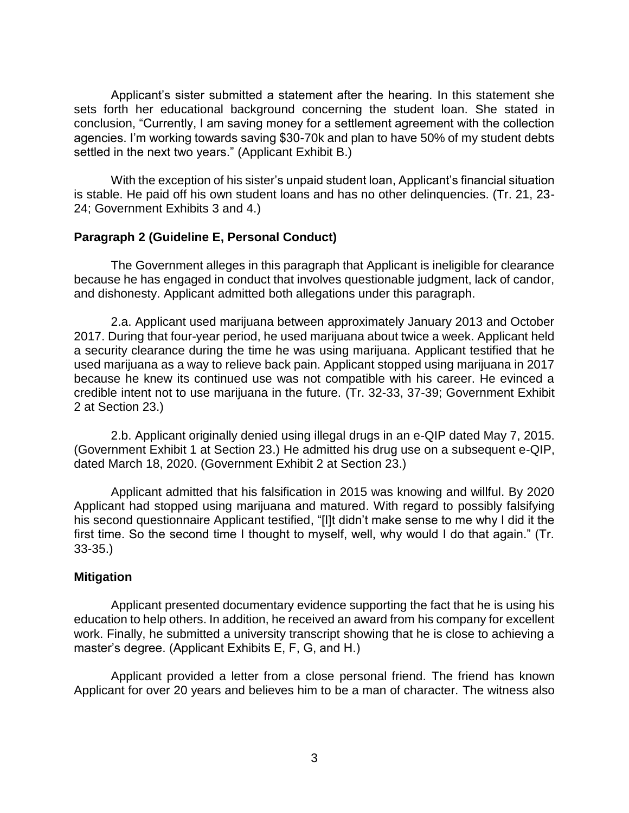Applicant's sister submitted a statement after the hearing. In this statement she sets forth her educational background concerning the student loan. She stated in agencies. I'm working towards saving \$30-70k and plan to have 50% of my student debts conclusion, "Currently, I am saving money for a settlement agreement with the collection settled in the next two years." (Applicant Exhibit B.)

With the exception of his sister's unpaid student loan, Applicant's financial situation is stable. He paid off his own student loans and has no other delinquencies. (Tr. 21, 23- 24; Government Exhibits 3 and 4.)

## **Paragraph 2 (Guideline E, Personal Conduct)**

 The Government alleges in this paragraph that Applicant is ineligible for clearance because he has engaged in conduct that involves questionable judgment, lack of candor, and dishonesty. Applicant admitted both allegations under this paragraph.

2.a. Applicant used marijuana between approximately January 2013 and October 2017. During that four-year period, he used marijuana about twice a week. Applicant held a security clearance during the time he was using marijuana. Applicant testified that he used marijuana as a way to relieve back pain. Applicant stopped using marijuana in 2017 because he knew its continued use was not compatible with his career. He evinced a credible intent not to use marijuana in the future. (Tr. 32-33, 37-39; Government Exhibit 2 at Section 23.)

2.b. Applicant originally denied using illegal drugs in an e-QIP dated May 7, 2015. (Government Exhibit 1 at Section 23.) He admitted his drug use on a subsequent e-QIP, dated March 18, 2020. (Government Exhibit 2 at Section 23.)

 Applicant admitted that his falsification in 2015 was knowing and willful. By 2020 Applicant had stopped using marijuana and matured. With regard to possibly falsifying first time. So the second time I thought to myself, well, why would I do that again." (Tr. his second questionnaire Applicant testified, "[I]t didn't make sense to me why I did it the 33-35.)

#### **Mitigation**

 Applicant presented documentary evidence supporting the fact that he is using his education to help others. In addition, he received an award from his company for excellent work. Finally, he submitted a university transcript showing that he is close to achieving a master's degree. (Applicant Exhibits E, F, G, and H.)

 Applicant provided a letter from a close personal friend. The friend has known Applicant for over 20 years and believes him to be a man of character. The witness also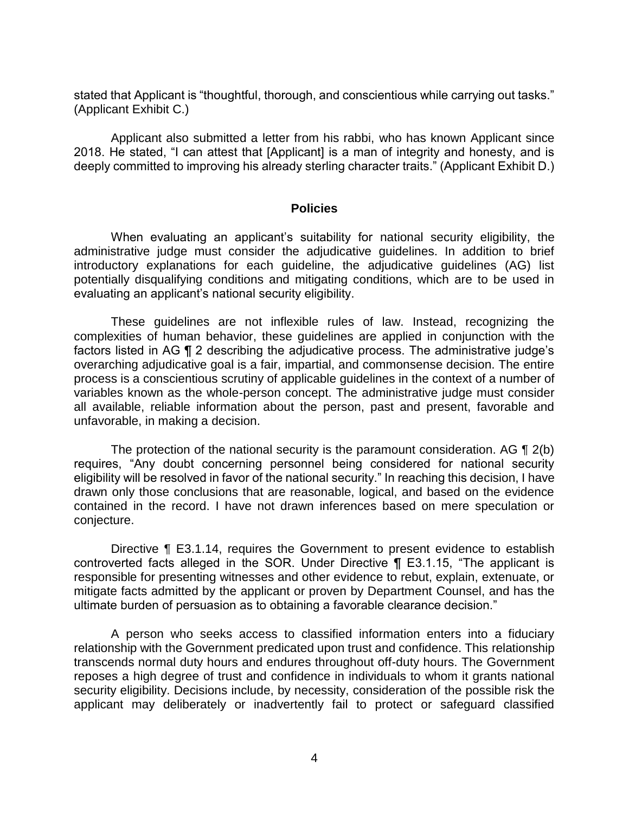stated that Applicant is "thoughtful, thorough, and conscientious while carrying out tasks." (Applicant Exhibit C.)

 Applicant also submitted a letter from his rabbi, who has known Applicant since 2018. He stated, "I can attest that [Applicant] is a man of integrity and honesty, and is deeply committed to improving his already sterling character traits." (Applicant Exhibit D.)

#### **Policies**

 When evaluating an applicant's suitability for national security eligibility, the administrative judge must consider the adjudicative guidelines. In addition to brief potentially disqualifying conditions and mitigating conditions, which are to be used in introductory explanations for each guideline, the adjudicative guidelines (AG) list evaluating an applicant's national security eligibility.

 These guidelines are not inflexible rules of law. Instead, recognizing the complexities of human behavior, these guidelines are applied in conjunction with the factors listed in AG ¶ 2 describing the adjudicative process. The administrative judge's overarching adjudicative goal is a fair, impartial, and commonsense decision. The entire variables known as the whole-person concept. The administrative judge must consider all available, reliable information about the person, past and present, favorable and process is a conscientious scrutiny of applicable guidelines in the context of a number of unfavorable, in making a decision.

The protection of the national security is the paramount consideration. AG  $\P$  2(b) requires, "Any doubt concerning personnel being considered for national security eligibility will be resolved in favor of the national security." In reaching this decision, I have drawn only those conclusions that are reasonable, logical, and based on the evidence contained in the record. I have not drawn inferences based on mere speculation or conjecture.

Directive ¶ E3.1.14, requires the Government to present evidence to establish controverted facts alleged in the SOR. Under Directive ¶ E3.1.15, "The applicant is responsible for presenting witnesses and other evidence to rebut, explain, extenuate, or mitigate facts admitted by the applicant or proven by Department Counsel, and has the ultimate burden of persuasion as to obtaining a favorable clearance decision."

 A person who seeks access to classified information enters into a fiduciary relationship with the Government predicated upon trust and confidence. This relationship transcends normal duty hours and endures throughout off-duty hours. The Government reposes a high degree of trust and confidence in individuals to whom it grants national security eligibility. Decisions include, by necessity, consideration of the possible risk the applicant may deliberately or inadvertently fail to protect or safeguard classified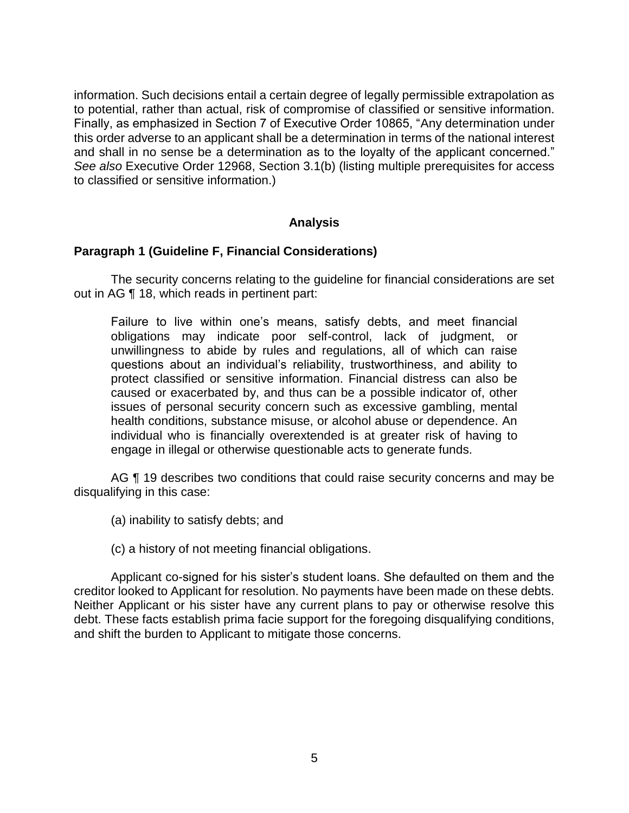information. Such decisions entail a certain degree of legally permissible extrapolation as Finally, as emphasized in Section 7 of Executive Order 10865, "Any determination under this order adverse to an applicant shall be a determination in terms of the national interest and shall in no sense be a determination as to the loyalty of the applicant concerned." to potential, rather than actual, risk of compromise of classified or sensitive information. *See also* Executive Order 12968, Section 3.1(b) (listing multiple prerequisites for access to classified or sensitive information.)

## **Analysis**

#### **Paragraph 1 (Guideline F, Financial Considerations)**

 The security concerns relating to the guideline for financial considerations are set out in AG ¶ 18, which reads in pertinent part:

Failure to live within one's means, satisfy debts, and meet financial obligations may indicate poor self-control, lack of judgment, or unwillingness to abide by rules and regulations, all of which can raise questions about an individual's reliability, trustworthiness, and ability to protect classified or sensitive information. Financial distress can also be caused or exacerbated by, and thus can be a possible indicator of, other issues of personal security concern such as excessive gambling, mental health conditions, substance misuse, or alcohol abuse or dependence. An individual who is financially overextended is at greater risk of having to engage in illegal or otherwise questionable acts to generate funds.

AG  $\P$  19 describes two conditions that could raise security concerns and may be disqualifying in this case:

- (a) inability to satisfy debts; and
- (c) a history of not meeting financial obligations.

 Applicant co-signed for his sister's student loans. She defaulted on them and the creditor looked to Applicant for resolution. No payments have been made on these debts. Neither Applicant or his sister have any current plans to pay or otherwise resolve this debt. These facts establish prima facie support for the foregoing disqualifying conditions, and shift the burden to Applicant to mitigate those concerns.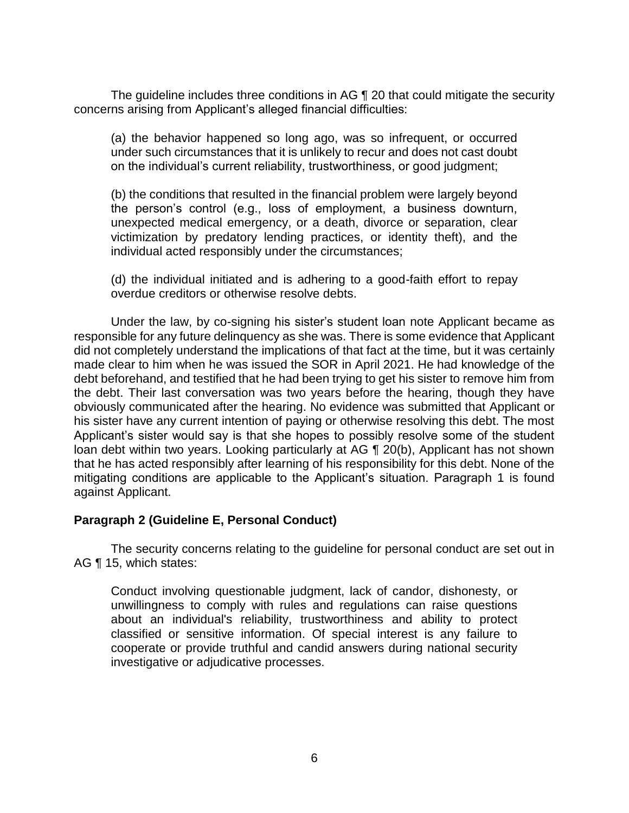The guideline includes three conditions in AG 1 20 that could mitigate the security concerns arising from Applicant's alleged financial difficulties:

(a) the behavior happened so long ago, was so infrequent, or occurred under such circumstances that it is unlikely to recur and does not cast doubt on the individual's current reliability, trustworthiness, or good judgment;

(b) the conditions that resulted in the financial problem were largely beyond the person's control (e.g., loss of employment, a business downturn, unexpected medical emergency, or a death, divorce or separation, clear victimization by predatory lending practices, or identity theft), and the individual acted responsibly under the circumstances;

(d) the individual initiated and is adhering to a good-faith effort to repay overdue creditors or otherwise resolve debts.

Under the law, by co-signing his sister's student loan note Applicant became as responsible for any future delinquency as she was. There is some evidence that Applicant did not completely understand the implications of that fact at the time, but it was certainly made clear to him when he was issued the SOR in April 2021. He had knowledge of the debt beforehand, and testified that he had been trying to get his sister to remove him from the debt. Their last conversation was two years before the hearing, though they have obviously communicated after the hearing. No evidence was submitted that Applicant or his sister have any current intention of paying or otherwise resolving this debt. The most Applicant's sister would say is that she hopes to possibly resolve some of the student loan debt within two years. Looking particularly at AG ¶ 20(b), Applicant has not shown that he has acted responsibly after learning of his responsibility for this debt. None of the mitigating conditions are applicable to the Applicant's situation. Paragraph 1 is found against Applicant.

## **Paragraph 2 (Guideline E, Personal Conduct)**

 The security concerns relating to the guideline for personal conduct are set out in AG ¶ 15, which states:

Conduct involving questionable judgment, lack of candor, dishonesty, or unwillingness to comply with rules and regulations can raise questions about an individual's reliability, trustworthiness and ability to protect classified or sensitive information. Of special interest is any failure to cooperate or provide truthful and candid answers during national security investigative or adjudicative processes.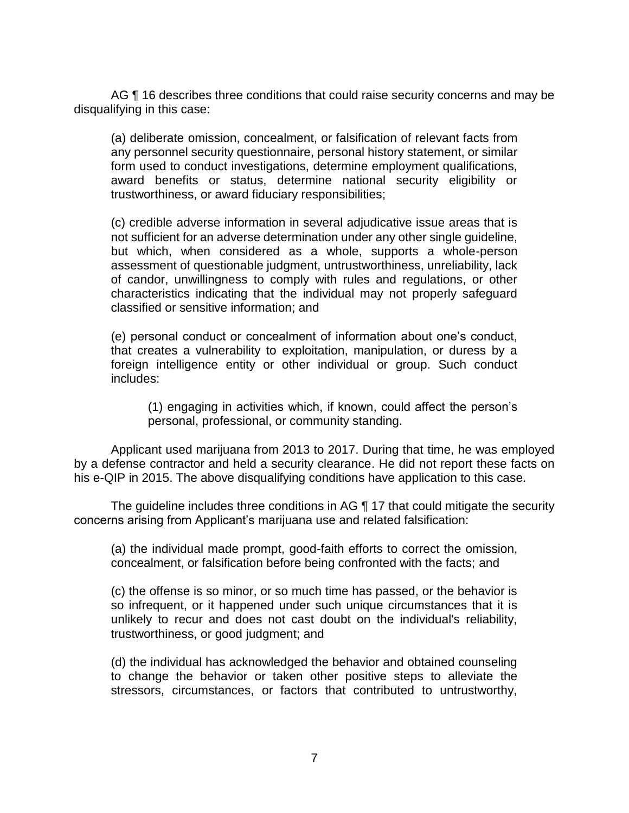AG ¶ 16 describes three conditions that could raise security concerns and may be disqualifying in this case:

(a) deliberate omission, concealment, or falsification of relevant facts from any personnel security questionnaire, personal history statement, or similar form used to conduct investigations, determine employment qualifications, award benefits or status, determine national security eligibility or trustworthiness, or award fiduciary responsibilities;

(c) credible adverse information in several adjudicative issue areas that is not sufficient for an adverse determination under any other single guideline, but which, when considered as a whole, supports a whole-person assessment of questionable judgment, untrustworthiness, unreliability, lack of candor, unwillingness to comply with rules and regulations, or other characteristics indicating that the individual may not properly safeguard classified or sensitive information; and

(e) personal conduct or concealment of information about one's conduct, that creates a vulnerability to exploitation, manipulation, or duress by a foreign intelligence entity or other individual or group. Such conduct includes:

(1) engaging in activities which, if known, could affect the person's personal, professional, or community standing.

 Applicant used marijuana from 2013 to 2017. During that time, he was employed by a defense contractor and held a security clearance. He did not report these facts on his e-QIP in 2015. The above disqualifying conditions have application to this case.

The guideline includes three conditions in AG 17 that could mitigate the security concerns arising from Applicant's marijuana use and related falsification:

(a) the individual made prompt, good-faith efforts to correct the omission, concealment, or falsification before being confronted with the facts; and

(c) the offense is so minor, or so much time has passed, or the behavior is so infrequent, or it happened under such unique circumstances that it is unlikely to recur and does not cast doubt on the individual's reliability, trustworthiness, or good judgment; and

(d) the individual has acknowledged the behavior and obtained counseling to change the behavior or taken other positive steps to alleviate the stressors, circumstances, or factors that contributed to untrustworthy,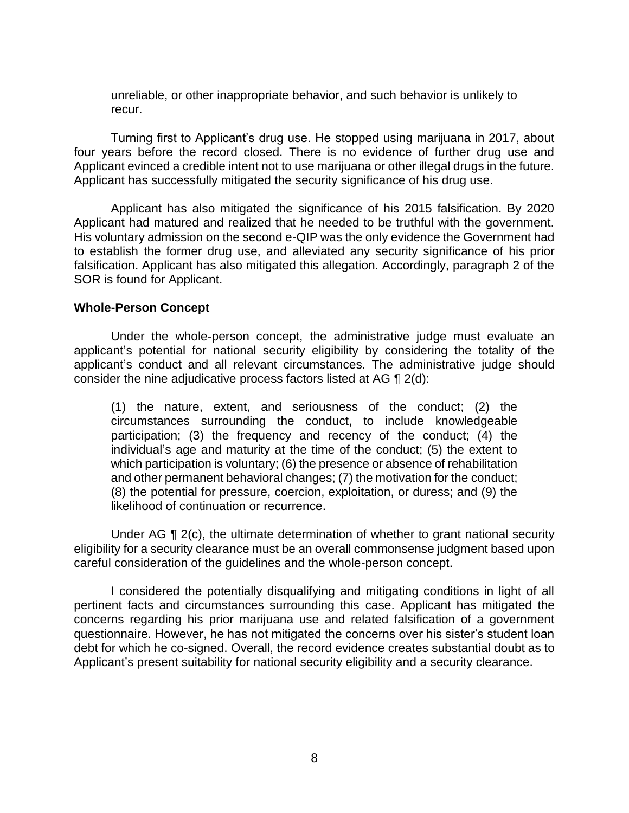unreliable, or other inappropriate behavior, and such behavior is unlikely to recur.

 Turning first to Applicant's drug use. He stopped using marijuana in 2017, about four years before the record closed. There is no evidence of further drug use and Applicant evinced a credible intent not to use marijuana or other illegal drugs in the future. Applicant has successfully mitigated the security significance of his drug use.

 Applicant has also mitigated the significance of his 2015 falsification. By 2020 Applicant had matured and realized that he needed to be truthful with the government. His voluntary admission on the second e-QIP was the only evidence the Government had to establish the former drug use, and alleviated any security significance of his prior falsification. Applicant has also mitigated this allegation. Accordingly, paragraph 2 of the SOR is found for Applicant.

#### **Whole-Person Concept**

 Under the whole-person concept, the administrative judge must evaluate an applicant's potential for national security eligibility by considering the totality of the applicant's conduct and all relevant circumstances. The administrative judge should consider the nine adjudicative process factors listed at AG ¶ 2(d):

(1) the nature, extent, and seriousness of the conduct; (2) the circumstances surrounding the conduct, to include knowledgeable participation; (3) the frequency and recency of the conduct; (4) the individual's age and maturity at the time of the conduct; (5) the extent to which participation is voluntary; (6) the presence or absence of rehabilitation and other permanent behavioral changes; (7) the motivation for the conduct; (8) the potential for pressure, coercion, exploitation, or duress; and (9) the likelihood of continuation or recurrence.

Under AG ¶ 2(c), the ultimate determination of whether to grant national security eligibility for a security clearance must be an overall commonsense judgment based upon careful consideration of the guidelines and the whole-person concept.

 I considered the potentially disqualifying and mitigating conditions in light of all pertinent facts and circumstances surrounding this case. Applicant has mitigated the concerns regarding his prior marijuana use and related falsification of a government debt for which he co-signed. Overall, the record evidence creates substantial doubt as to questionnaire. However, he has not mitigated the concerns over his sister's student loan Applicant's present suitability for national security eligibility and a security clearance.